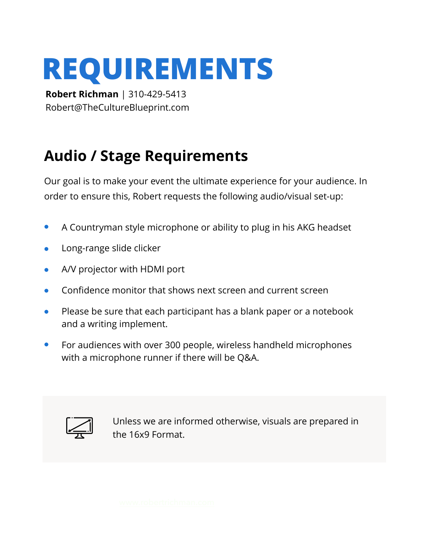# **REQUIREMENTS**

**Robert Richman** | 310-429-5413 Robert@TheCultureBlueprint.com

## **Audio / Stage Requirements**

Our goal is to make your event the ultimate experience for your audience. In order to ensure this, Robert requests the following audio/visual set-up:

- A Countryman style microphone or ability to plug in his AKG headset  $\bullet$
- Long-range slide clicker  $\bullet$
- A/V projector with HDMI port  $\bullet$
- Confidence monitor that shows next screen and current screen  $\bullet$
- Please be sure that each participant has a blank paper or a notebook  $\bullet$ and a writing implement.
- For audiences with over 300 people, wireless handheld microphones  $\bullet$ with a microphone runner if there will be Q&A.



Unless we are informed otherwise, visuals are prepared in the 16x9 Format.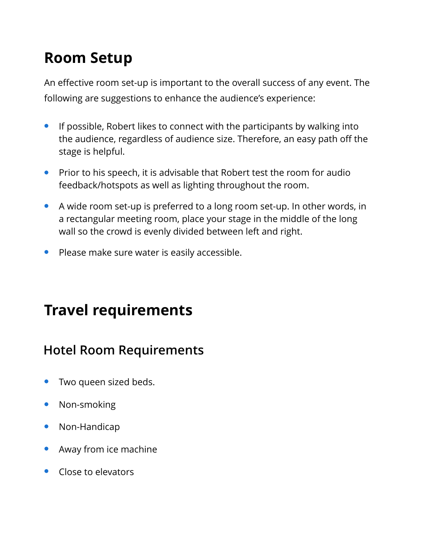## **Room Setup**

An effective room set-up is important to the overall success of any event. The following are suggestions to enhance the audience's experience:

- If possible, Robert likes to connect with the participants by walking into  $\bullet$ the audience, regardless of audience size. Therefore, an easy path off the stage is helpful.
- **•** Prior to his speech, it is advisable that Robert test the room for audio feedback/hotspots as well as lighting throughout the room.
- A wide room set-up is preferred to a long room set-up. In other words, in  $\bullet$ a rectangular meeting room, place your stage in the middle of the long wall so the crowd is evenly divided between left and right.
- Please make sure water is easily accessible.  $\bullet$

### **Travel requirements**

#### **Hotel Room Requirements**

- $\bullet$ Two queen sized beds.
- Non-smoking
- Non-Handicap
- Away from ice machine
- Close to elevators